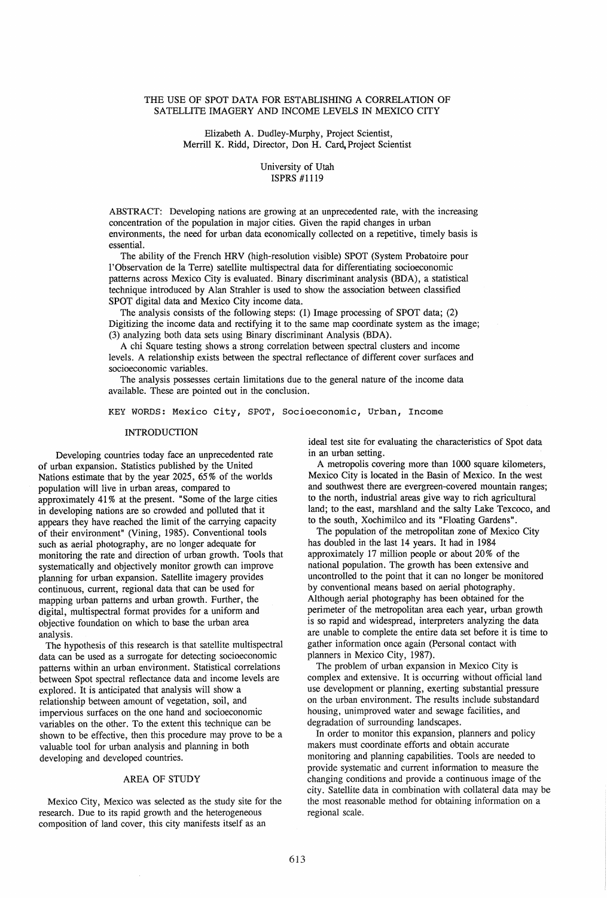### THE USE OF SPOT DATA FOR ESTABLISHING A CORRELATION OF SATELLITE IMAGERY AND INCOME LEVELS IN MEXICO CITY

Elizabeth A. Dudley-Murphy, Project Scientist, Merrill K. Ridd, Director, Don H. Card, Project Scientist

## University of Utah ISPRS #1119

ABSTRACT: Developing nations are growing at an unprecedented rate, with the increasing concentration of the population in major cities. Given the rapid changes in urban environments, the need for urban data economically collected on a repetitive, timely basis is essential.

The ability of the French HRV (high-resolution visible) SPOT (System Probatoire pour l'Observation de la Terre) satellite multispectral data for differentiating socioeconomic patterns across Mexico City is evaluated. Binary discriminant analysis (BDA), a statistical technique introduced by Alan Strahler is used to show the association between classified SPOT digital data and Mexico City income data.

The analysis consists of the following steps: (1) Image processing of SPOT data; (2) Digitizing the income data and rectifying it to the same map coordinate system as the image; (3) analyzing both data sets using Binary discriminant Analysis (BDA).

A chi Square testing shows a strong correlation between spectral clusters and income levels. A relationship exists between the spectral reflectance of different cover surfaces and socioeconomic variables.

The analysis possesses certain limitations due to the general nature of the income data available. These are pointed out in the conclusion.

KEY WORDS: Mexico City, SPOT, Socioeconomic, Urban, Income

## **INTRODUCTION**

Developing countries today face an unprecedented rate of urban expansion. Statistics published by the United Nations estimate that by the year 2025, 65% of the worlds population will live in urban areas, compared to approximately 41 % at the present. "Some of the large cities in developing nations are so crowded and polluted that it appears they have reached the limit of the carrying capacity of their environment" (Vining, 1985). Conventional tools such as aerial photography, are no longer adequate for monitoring the rate and direction of urban growth. Tools that systematically and objectively monitor growth can improve planning for urban expansion. Satellite imagery provides continuous, current, regional data that can be used for mapping urban patterns and urban growth. Further, the digital, multispectral format provides for a uniform and objective foundation on which to base the urban area analysis.

The hypothesis of this research is that satellite multispectral data can be used as a surrogate for detecting socioeconomic patterns within an urban environment. Statistical correlations between Spot spectral reflectance data and income levels are explored. It is anticipated that analysis will show a relationship between amount of vegetation, soil, and impervious surfaces on the one hand and socioeconomic variables on the other. To the extent this technique can be shown to be effective, then this procedure may prove to be a valuable tool for urban analysis and planning in both developing and developed countries.

## AREA OF STUDY

Mexico City, Mexico was selected as the study site for the research. Due to its rapid growth and the heterogeneous composition of land cover, this city manifests itself as an

ideal test site for evaluating the characteristics of Spot data in an urban setting.

A metropolis covering more than 1000 square kilometers, Mexico City is located in the Basin of Mexico. In the west and southwest there are evergreen-covered mountain ranges; to the north, industrial areas give way to rich agricultural land; to the east, marshland and the salty Lake Texcoco, and to the south, Xochimilco and its "Floating Gardens".

The population of the metropolitan zone of Mexico City has doubled in the last 14 years. It had in 1984 approximately 17 million people or about 20% of the national population. The growth has been extensive and uncontrolled to the point that it can no longer be monitored by conventional means based on aerial photography. Although aerial photography has been obtained for the perimeter of the metropolitan area each year, urban growth is so rapid and widespread, interpreters analyzing the data are unable to complete the entire data set before it is time to gather information once again (Personal contact with planners in Mexico City, 1987).

The problem of urban expansion in Mexico City is complex and extensive. It is occurring without official land use development or planning, exerting substantial pressure on the urban environment. The results include substandard housing, unimproved water and sewage facilities, and degradation of surrounding landscapes.

In order to monitor this expansion, planners and policy makers must coordinate efforts and obtain accurate monitoring and planning capabilities. Tools are needed to provide systematic and current information to measure the changing conditions and provide a continuous image of the city. Satellite data in combination with collateral data may be the most reasonable method for obtaining information on a regional scale.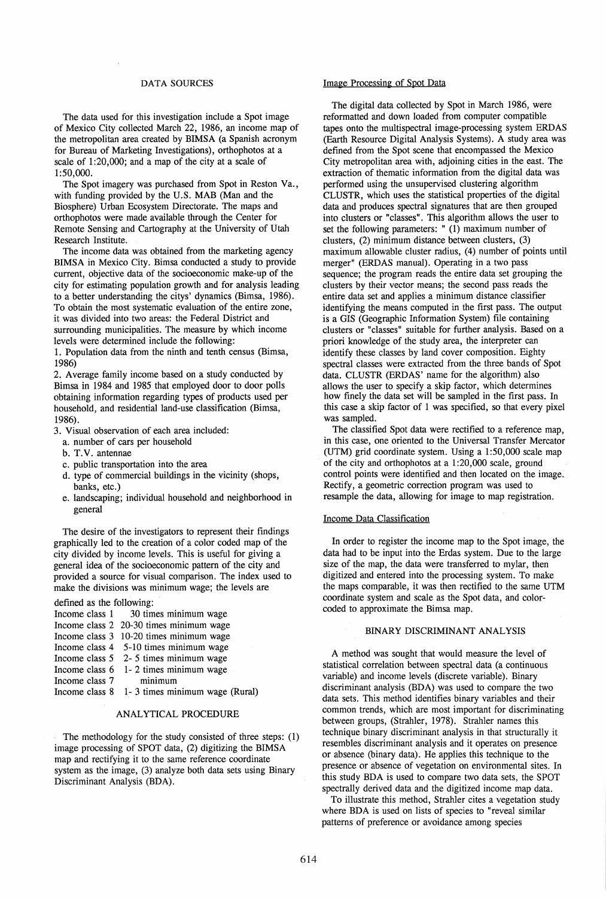### DATA SOURCES

The data used for this investigation include a Spot image of Mexico City collected March 22, 1986, an income map of the metropolitan area created by BIMSA (a Spanish acronym for Bureau of Marketing Investigations), orthophotos at a scale of 1:20,000; and a map of the city at a scale of 1:50,000.

The Spot imagery was purchased from Spot in Reston Va., with funding provided by the U.S. MAB (Man and the Biosphere) Urban Ecosystem Directorate. The maps and orthophotos were made available through the Center for Remote Sensing and Cartography at the University of Utah Research Institute.

The income data was obtained from the marketing agency BIMSA in Mexico City. Bimsa conducted a study to provide current, objective data of the socioeconomic make-up of the city for estimating population growth and for analysis leading to a better understanding the citys' dynamics (Bimsa, 1986). To obtain the most systematic evaluation of the entire zone, it was divided into two areas: the Federal District and surrounding municipalities. The measure by which income levels were determined include the following:

1. Population data from the ninth and tenth census (Bimsa, 1986)

2. Average family income based on a study conducted by Bimsa in 1984 and 1985 that employed door to door polls obtaining information regarding types of products used per household, and residential land-use classification (Bimsa, 1986).

- 3. Visual observation of each area included:
	- a. number of cars per household
	- b. T.V. antennae
	- c. public transportation into the area
	- d. type of commercial buildings in the vicinity (shops, banks, etc.)
	- e. landscaping; individual household and neighborhood in general

The desire of the investigators to represent their findings graphically led to the creation of a color coded map of the city divided by income levels. This is useful for giving a general idea of the socioeconomic pattern of the city and provided a source for visual comparison. The index used to make the divisions was minimum wage; the levels are

defined as the following:

| Income class 1 | 30 times minimum wage                   |
|----------------|-----------------------------------------|
|                | Income class 2 20-30 times minimum wage |
|                | Income class 3 10-20 times minimum wage |
|                | Income class 4 5-10 times minimum wage  |
|                |                                         |

- Income class 5 2- 5 times minimum wage
- Income class 6 1- 2 times minimum wage
- Income class 7 minimum

Income class 8 1- 3 times minimum wage (Rural)

# ANALYTICAL PROCEDURE

The methodology for the study consisted of three steps: (1) image processing of SPOT data, (2) digitizing the BIMSA map and rectifying it to the same reference coordinate system as the image, (3) analyze both data sets using Binary Discriminant Analysis (BDA).

## Image Processing of Spot Data

The digital data collected by Spot in March 1986, were reformatted and down loaded from computer compatible tapes onto the multispectral image-processing system ERDAS (Earth Resource Digital Analysis Systems). A study area was defined from the Spot scene that encompassed the Mexico City metropolitan area with, adjoining cities in the east. The extraction of thematic information from the digital data was performed using the unsupervised clustering algorithm CLUSTR, which uses the statistical properties of the digital data and produces spectral signatures that are then grouped into clusters or "classes". This algorithm allows the user to set the following parameters:  $" (1)$  maximum number of clusters, (2) minimum distance between clusters, (3) maximum allowable cluster radius, (4) number of points until merger" (ERDAS manual). Operating in a two pass sequence; the program reads the entire data set grouping the clusters by their vector means; the second pass reads the entire. data set and applies a minimum distance classifier identifying the means computed in the first pass. The output is a GIS (Geographic Information System) file containing clusters or "classes" suitable for further analysis. Based on a priori knowledge of the study area, the interpreter can identify these classes by land cover composition. Eighty spectral classes were extracted from the three bands of Spot data. CLUSTR (ERDAS' name for the algorithm) also allows the user to specify a skip factor, which determines how finely the data set will be sampled in the first pass. In this case a skip factor of 1 was specified, so that every pixel was sampled.

The classified Spot data were rectified to a reference map, in this case, one oriented to the Universal Transfer Mercator (UTM) grid coordinate system. Using a 1:50,000 scale map of the city and orthophotos at a 1:20,000 scale, ground control points were identified and then located on the image. Rectify, a geometric correction program was used to resample the data, allowing for image to map registration.

# Income Data Classification

In order to register the income map to the Spot image, the data had to be input into the Erdas system. Due to the large size of the map, the data were transferred to mylar, then digitized and entered into the processing system. To make the maps comparable, it was then rectified to the same UTM coordinate system and scale as the Spot data, and colorcoded to approximate the Bimsa map.

# BINARY DISCRIMINANT ANALYSIS

A method was sought that would measure the level of statistical correlation between spectral data (a continuous variable) and income levels (discrete variable). Binary discriminant analysis (BDA) was used to compare the two data sets. This method identifies binary variables and their common trends, which are most important for discriminating between groups, (Strahler, 1978). Strahler names this technique binary discriminant analysis in that structurally it resembles discriminant analysis and it operates on presence or absence (binary data). He applies this technique to the presence or absence of vegetation on environmental sites. In this study BDA is used to compare two data sets, the SPOT spectrally derived data and the digitized income map data.

To illustrate this method, Strahler cites a vegetation study where BDA is used on lists of species to "reveal similar patterns of preference or avoidance among species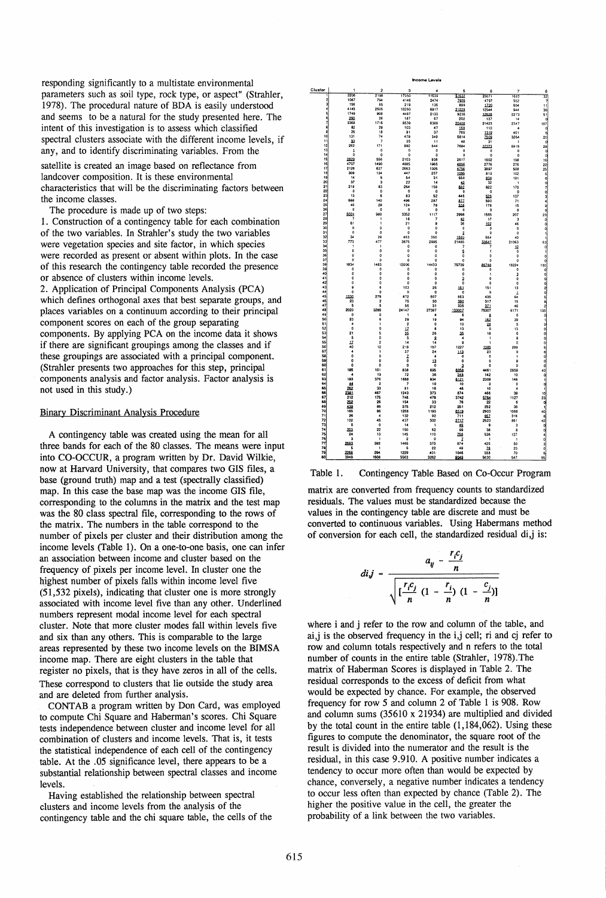responding significantly to a multistate environmental parameters such as soil type, rock type, or aspect" (Strahler, 1978). The procedural nature of BDA is easily understood and seems to be a natural for the study presented here. The intent of this investigation is to assess which Classified spectral clusters associate with the different income levels, if any, and to identify discriminating variables. From the

satellite is created an image based on reflectance from landcover composition. It is these environmental characteristics that will be the discriminating factors between the income classes.

The procedure is made up of two steps:

1. Construction of a contingency table for each combination of the two variables. In Strahler's study the two variables were vegetation species and site factor, in which species were recorded as present or absent within plots. In the case of this research the contingency table recorded the presence or absence of clusters within income levels. 2. Application of Principal Components Analysis (PCA) which defines orthogonal axes that best separate groups, and places variables on a continuum according to their principal component scores on each of the group separating components. By applying PCA on the income data it shows if there are significant groupings among the classes and if these groupings are associated with a principal component. (Strahler presents two approaches for this step, principal components analysis and factor analysis. Factor analysis is

#### Binary Discriminant Analysis Procedure

not used in this study.)

A contingency table was created using the mean for all three bands for each of the 80 classes. The means were input into CO-OCCUR, a program written by Dr. David Wilkie, now at Harvard University, that compares two GIS files, a base (ground truth) map and a test (spectrally classified) map. In this case the base map was the income GIS file, corresponding to the columns in the matrix and the test map was the 80 class spectral file, corresponding to the rows of the matrix. The numbers in the table correspond to the number of pixels per cluster and their distribution among the income levels (Table 1). On a one-to-one basis, one can infer an association between income and cluster based on the frequency of pixels per income level. In cluster one the highest number of pixels falls within income level five (51,532 pixels), indicating that 'cluster one is more strongly associated with income level five than any other. Underlined numbers represent modal income level for each spectral cluster. Note that more cluster modes fall within levels five and six than any others. This is comparable to the large areas represented by these two income levels on the BIMSA income map. There are eight clusters in the table that register no pixels, that is they have zeros in all of the cells. These correspond to clusters that lie outside the study area and are deleted from further analysis.

CONT AB a program written by Don Card, was employed to compute Chi Square and Haberman's scores. Chi Square tests independence between cluster and income level for all combination of clusters and income levels. That is, it tests the statistical independence of each cell of the contingency table. At the .05 significance level, there appears to be a substantial relationship between spectral classes and income levels.

Having established the relationship between spectral clusters and income levels from the analysis of the contingency table and the chi square table, the cells of the





matrix are converted from frequency counts to standardized residuals. The values must be standardized because the values in the contingency table are discrete and must be converted to continuous variables. Using Habermans method of conversion for each cell, the standardized residual di,j is:

$$
di_j = \frac{a_{ij} - \frac{r_i c_j}{n}}{\sqrt{[\frac{r_i c_j}{n} (1 - \frac{r_i}{n}) (1 - \frac{c_j}{n})]}}
$$

where i and j refer to the row and column of the table, and ai,j is the observed frequency in the i,j cell; ri and cj refer to row and column totals respectively and n refers to the total number of counts in the entire table (Strahler, 1978). The matrix of Haberman Scores is displayed in Table 2. The residual corresponds to the excess of deficit from what would be expected by chance. For example, the observed frequency for row 5 and column 2 of Table 1 is 908. Row and column sums (35610 x 21934) are multiplied and divided by the total count in the entire table (1,184,062). Using these figures to compute the denominator, the square root of the result is divided into the numerator and the result is the residual, in this case 9.910. A positive number indicates a tendency to occur more often than would be expected by chance, conversely, a negative number indicates a tendency to occur less often than expected by chance (Table 2). The higher the positive value in the cell, the greater the probability of a link between the two variables.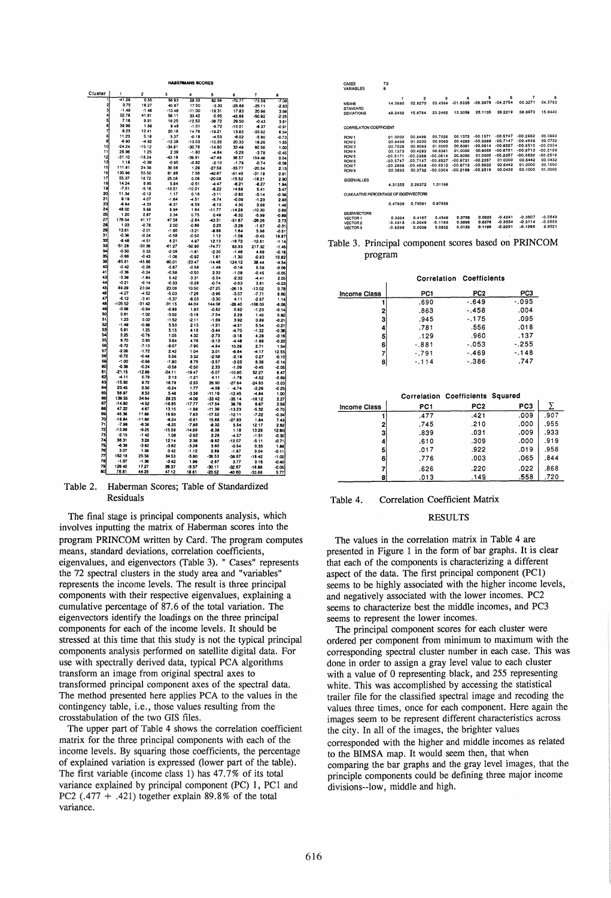| Cluster  |                      | 2                   | 3                   |                     | 5                    | 6                    | 7                | A                  |
|----------|----------------------|---------------------|---------------------|---------------------|----------------------|----------------------|------------------|--------------------|
| ī        | $-41.28$             | 0.55                | 56.63               | 28 33               | 62.56                | $-70.77$             | $-73.59$         | $-7.08$            |
| 2        | 3.75                 | 18.27               | 40.87               | 17.50               | $-3.30$              | $-25.88$             | $-25.11$         | $-2.83$            |
| 3        | $-1.48$              | $-1.48$             | $-10.46$            | $-11.00$            | $-19.31$             | 17.83                | 20.98            | 3.98               |
| 4        | 32.78                | 41.91               | 56.11               | 33.42               | $-5.95$              | 45.88                | -50.92           | $-2.25$            |
| 5<br>6   | 7.16                 | 9.91                | 16.25               | $-12.52$            | $-38.72$             | 29.50                | $-0.43$          | 3.91               |
| 7        | 39.99                | 1.89                | 9.49                | $-1.01$             | $-9.72$              | $-10.01$             | $-6.37$          | -0.91              |
| 8        | 9.23<br>11.23        | 12.41<br>5.18       | 20.16<br>5.37       | 14.78               | -19.21               | 13.83                | -33.92           | 6.54               |
| 9        | -8.90                | $-4.92$             | $-12.38$            | $-0.19$<br>-13.03   | $-4.53$<br>$-10.35$  | -6.02<br>20.33       | $-5.90$          | 0.73               |
| 10       | $-24.24$             | $-15.12$            | $-34.91$            | $-30.78$            | $-14.90$             | 33.49                | 16.26<br>60.56   | 1.65<br>1.00       |
| 11       | 26.96                | 1.25                | 2.39                | $-1.80$             | $-4.84$              | $-5.29$              | $-3.78$          | 0.45               |
| 12       | $-31.10$             | $-18.24$            | 43.19               | -39.91              | -47.49               | 36.57                | 154.46           | 0.04               |
| 13       | 1, 18                | $-0.39$             | $-0.95$             | $-0.82$             | $-2.10$              | $-1.79$              | $-0.74$          | $-0.08$            |
| 15       | 111.81               | 24.38               | 30.56               | 1.29                | $-27.58$             | $-33.77$             | $-20.34$         | 2.13               |
| 16       | 130.86               | 55.50               | 61.99               | 7.56                | $-40.67$             | -51.45               | $-31.19$         | 0.91               |
| 17       | 55.37                | 18.72               | 25.08               | 0.08                | $-20.08$             | $-15.52$             | $-18.21$         | 2.90               |
| 18       | 14.24                | 8.95                | 5.84                | $-0.51$             | $-4.47$              | $-6.21$              | $-8.27$          | 1.84               |
| 19       | $-7.51$<br>11.34     | $-5.16$             | $-10.51$            | $-10.01$            | $-6.22$              | 14.68                | 5.41             | 3.47               |
| 20<br>21 | 9.19                 | $-0.12$<br>4.07     | 1.17                | 0.18                | $-3.11$              | $-2.92$              | $-3.14$          | $-0.38$            |
| 23       | $-6.64$              | $-4.33$             | $-1.64$<br>-6.31    | $-4.51$<br>$-6.59$  | $-5.74$              | $-0.09$              | $-1.23$          | 2.93               |
| 24       | 48.02                | 9.88                | 8.94                | 1.64                | -6.10<br>-11.77      | 4.30<br>$-14.28$     | 3.66<br>-10.30   | 1.46               |
| 25       | 1.20                 | 2.87                | 3.34                | 0.75                | 0.49                 | $-6.32$              | $-5.99$          | 0.69<br>$-0.89$    |
| 27       | 176.04               | 41.17               | 47.58               | $-2.84$             | 43.31                | $-51.67$             | $-26.26$         | 2.73               |
| 28       | 1.03                 | $-0.78$             | 2.00                | $-0.66$             | 0.20                 | $-3.26$              | $-1.67$          | $-0.31$            |
| 29       | 13.61                | $-2.01$             | $-1.95$             | $-3.21$             | $-8.88$              | 1.64                 | 5.98             | $-0.51$            |
| 31       | $-0.36$              | $-0.24$             | $-0.58$             | $-0.50$             | 1.12                 | $-1.09$              | $-0.45$          | 19.87              |
| 32       | $-9.49$              | $-4.51$             | 6.21                | 4.97                | 12.13                | $-18.72$             | $-12.81$         | $-1.14$            |
| 33       | $-51.28$             | $-30.36$            | $-61.27$            | $-50.90$            | -74.77               | 63.33                | 217.32           | $-1.45$            |
| 34<br>35 | $-0.50$<br>$-0.66$   | 0.33                | $-2.09$             | $-1.81$             | $-2.30$              | $-1.46$              | 4.89             | $-0.18$            |
| 38       | $-85.81$             | $-0.43$<br>$-45.66$ | $-1.06$<br>80.01    | $-0.92$<br>$-23.47$ | 1.61<br>$-14.46$     | $-1.30$<br>124.12    | $-0.83$<br>38.44 | 10.82<br>$-1.54$   |
| 40       | $-0.42$              | $-0.28$             | $-0.67$             | $-0.58$             | $-1.49$              | $-0.16$              | 5.59             | $-0.06$            |
| 41       | $-0.36$              | $-0.24$             | $-0.58$             | $-0.50$             | 2.33                 | $-1.09$              | $-0.45$          | $-0.05$            |
| 43       | $-3.39$              | $-1.64$             | 5.42                | $-3.31$             | $-5.04$              | $-2.32$              | $-4.41$          | 2.05               |
| 44       | -0.21                | $-0.14$             | $-0.33$             | $-0.29$             | $-0.74$              | $-0.63$              | 3.81             | $-0.03$            |
| 45       | 89.29                | 23.04               | 23.08               | 10.50               | $-27.25$             | $-26.15$             | $-13.02$         | 0.78               |
| 46       | $-4.27$              | $-4.52$             | $-5.03$             | $-7.26$             | $-3.96$              | $-3.07$              | $-7.71$          | 6.66               |
| 47<br>48 | $-6.12$<br>$-105.52$ | $-3.41$             | $-5.37$             | $-6.03$             | $-3.30$              | 4.11                 | $-2.97$          | 1.14               |
| 49       | $-0.98$              | -31.42<br>$-0.64$   | $-31.15$<br>$-0.86$ | 44.04<br>1.83       | 144.08               | $-26.40$             | $-106.03$        | $-8.06$            |
| 50       | 0.61                 | $-1.02$             | $-3.02$             | $-3.18$             | $-0.82$<br>$-7.54$   | 0.82<br>2.29         | $-1.23$<br>1.40  | $-0.14$<br>0.92    |
| 51       | 1.23                 | 0.02                | $-1.52$             | $-2.11$             | $-1.69$              | 3.92                 | 0.89             | $-0.21$            |
| 52       | $-1.49$              | $-0.98$             | 5.53                | 2.13                | $-1.51$              | -4.51                | 5.54             | $-0.21$            |
| 53       | 5.81                 | 1.25                | 5.15                | 4.18                | $-3.44$              | -4.70                | $-1.32$          | $-0.36$            |
| 54       | 3.25                 | $-0.78$             | 1.05                | 4.32                | $-2.73$              | $-3.18$              | 4.28             | $-0.16$            |
| 55       | 9.70                 | 0.93                | 3.64                | 4.76                | $-3.13$              | 4.48                 | $-1.98$          | $-0.22$            |
| 56       | $-9.72$              | $-7.10$             | -9.07               | $-7.90$             | -4.84                | 10.28                | 2.71             | 1.54               |
| 57<br>58 | $-2.06$<br>$-0.72$   | $-1.72$             | 2.42                | 1.04                | 3.01                 | $-6.84$              | $-4.17$          | 12.55              |
| 59       | $-1.00$              | $-0.48$<br>$-0.66$  | 5.56                | 3.32                | $-2.58$              | $-2.19$              | 0.27             | $-0.10$            |
| 60       | $-0.36$              | $-0.24$             | $-1.60$<br>$-0.58$  | 8.76<br>$-0.50$     | $-3.57$              | $-3.03$              | 6.39             | $-0.14$            |
| 61       | $-21.15$             | $-12.89$            | -24.11              | $-19.47$            | 2.33<br>$-5.07$      | -1.09<br>$-10.80$    | $-0.45$<br>52.27 | $-0.05$<br>6.47    |
| 62       | $-4.11$              | 0.79                | 2.13                | $-1.21$             | 4.11                 | $-1.78$              | $-4.52$          | $-0.69$            |
| 63       | $-15.92$             | 8.72                | 16.78               | $-2.55$             | 26.90                | $-27.64$             | $-24.93$         | $-3.03$            |
| 64       | 23.45                | 0.50                | $-0.24$             | 1.77                | $-4.09$              | $-4.74$              | $-2.29$          | $-0.25$            |
| 65       | 56.97                | 8.53                | 5.48                | $-3.30$             | $-11.19$             | $-12.45$             | $-4.84$          | 1.00               |
| 66       | 139.55               | 34.64               | 28.25               | $-4.06$             | $-33.42$             | $-35.14$             | $-18.12$         | 2.27               |
| 67<br>68 | $-14.80$             | $-4.52$             | $-16.85$            | $-17.77$            | $-17.54$             | 38.76                | 9.87             | 3.59               |
| 69       | 47.22<br>45.36       | 4.67<br>11.66       | 13.15<br>16.93      | $-1.88$<br>7.63     | $-11.39$<br>$-17.52$ | $-13.23$             | $-5.32$          | $-0.70$            |
| 70       | $-18.84$             | $-11.60$            | $-6.24$             | $-0.61$             | 15.68                | $-12.11$<br>$-27.93$ | $-7.22$<br>1.84  | $-0.34$<br>7.43    |
| 71       | $-7.99$              | $-6.38$             | $-8.25$             | $-7.86$             | $-8.32$              | 5.54                 | 12.17            | 2.62               |
| 72       | $-13.99$             | $-9.25$             | $-15.59$            | $-14.89$            | $-8.38$              | 1.18                 | 13.28            | 12.90              |
| 73       | $-2.15$              | $-1.42$             | 1.08                | $-2.62$             | 2.28                 | -4.57                | $-1.51$          | $-0.30$            |
| 74       | 36.31                | 3.28                | 12.14               | 2.36                | $-9.82$              | -12.07               | $-5.11$          | $-0.71$            |
| 75       | -6.39                | $-3.82$             | $-3.62$             | $-3.28$             | 3.60                 | $-0.54$              | 0.33             | 1.88               |
| 76<br>77 | 3.07<br>152.16       | 1.38<br>25.56       | 0.42<br>34.53       | $-1.12$             | 0.89                 | $-1.87$              | 0.04             | -0.11              |
| 78       | $-1.07$              | $-1.36$             | $-3.42$             | $-5.60$<br>1.96     | $-36.53$<br>$-2.87$  | $-36.67$<br>3.77     | -18.42<br>3.16   | $-1.02$            |
| 79       | 129.42               | 17.27               | 26.37               | $-3.37$             | $-30.11$             | $-32.67$             | -16.86           | $-0.40$<br>$-0.05$ |
| 80       | 76.81                | 44.28               | 47.12               | 18.81               | $-23.52$             | -40.60               | $-33.88$         | 5.77               |

HABERIIIIAHS SCORES

#### Table 2. Haberman Scores; Table of Standardized Residuals

The final stage is principal components analysis, which involves inputting the matrix of Haberman scores into the program PRINCOM written by Card. The program computes means, standard deviations, correlation coefficients, eigenValues, and eigenvectors (Table 3). " Cases" represents the 72 spectral clusters in the study area and "variables" represents the income levels. The result is three principal components with their respective eigenvalues, explaining a cumulative percentage of 87.6 of the total variation. The eigenvectors identify the loadings on the three principal components for each of the income levels. It should be stressed at this time that this study is not the typical principal components analysis performed on satellite digital data. For use with spectrally derived data, typical PCA algorithms transform an image from original spectral axes to transformed principal component axes of the spectral data. The method presented here applies PCA to the values in the contingency table, i.e., those values resulting from the crosstabulation of the two GIS files.

The upper part of Table 4 shows the correlation coefficient matrix for the three principal components with each of the income levels. By squaring those coefficients, the percentage of explained variation is expressed (lower part of the table). The first variable (income class 1) has 47.7% of its total variance explained by principal component (PC) 1, PC1 and PC2 (.477  $+$  .421) together explain 89.8% of the total variance.

| CASES                                 | 72                 |                          |                          |            |            |            |                |            |
|---------------------------------------|--------------------|--------------------------|--------------------------|------------|------------|------------|----------------|------------|
| VARIABLES                             | 8                  |                          |                          |            |            |            |                |            |
|                                       |                    |                          |                          |            |            |            |                |            |
|                                       | 1                  | $\overline{2}$           | а                        | 4          | 5          | 6          | $\overline{7}$ | 8          |
| <b>MEANS</b>                          | 14.0680            | 02.8270                  | 03.4584                  | $-01.5335$ | $-06.3879$ | $-04.2754$ | 00.3271        | 04.5783    |
| STANDARD                              |                    |                          |                          |            |            |            |                |            |
| <b>DEVIATIONS</b>                     | 48.2432            | 15.8764                  | 23.2492                  | 13.3058    | 25.1135    | 26.2219    | 38.8973        | 15,8440    |
|                                       |                    |                          |                          |            |            |            |                |            |
| CORRELATION COEFFICIENT               |                    |                          |                          |            |            |            |                |            |
|                                       |                    | 00.8499                  | 00.7026                  | 00.1373    | $-00.1571$ | $-00.5747$ | $-00.2662$     | 00.0893    |
| POW <sub>1</sub>                      | 01.0000<br>00.8499 | 01.0000                  | 00.9083                  | 00.4283    | $-00.3388$ | $-00.7147$ | $-00.4648$     | 00.0732    |
| ROW <sub>2</sub>                      | 00.7026            | 00.9083                  | 01.0000                  | 00.6381    | $-00.0614$ | $-00.8527$ | $-00.6510$     | $-00.0304$ |
| ROW <sub>3</sub>                      | 00.1373            | 00.4283                  | 00.6381                  | 01.0000    | 00.6050    | $-00.6731$ | $-00.8713$     | $-00.2169$ |
| ROW <sub>4</sub>                      |                    |                          | $-00.0614$               | 00.6050    | 01.0000    | $-00.2357$ | $-00.5632$     | $-00.2519$ |
| ROW 5                                 | $-00.5171$         | $-00.3388$<br>$-00.7147$ | $-00.8527$               | $-00.6731$ | $-00.2357$ | 01.0000    | 00.6442        | 00.0432    |
| ROW 6                                 | $-00.5747$         |                          |                          | $-00.8713$ | $-00.5632$ | 00.6442    | 01.0000        | 00.1000    |
| ROW 7                                 | $-00.2666$         | $-00.4648$               | $-00.6510$<br>$-00.0304$ | $-00.2169$ | $-00.2519$ | 00.0432    | 00.1000        | 01.0000    |
| ROW 8                                 | 00.0893            | 00.0732                  |                          |            |            |            |                |            |
| <b>EIGENVALUES</b>                    |                    |                          |                          |            |            |            |                |            |
|                                       | 4.31355            | 2.26372                  | 1.31196                  |            |            |            |                |            |
| CUMULATIVE PERCENTAGE OF EIGENVECTORS |                    |                          |                          |            |            |            |                |            |
|                                       | 0.47928            | 0.73081                  | 0.87658                  |            |            |            |                |            |
| <b>EIGENVECTORS</b>                   |                    |                          |                          |            |            |            |                |            |
| <b>VECTOR1</b>                        | 0.3324             | 0.4157                   | 0.4549                   | 0.3758     | 0.0623     | $-0.4241$  | $-0.3807$      | $-0.0549$  |
| VECTOR 2                              | $-0.4315$          | $-0.3045$                | $-0.1163$                | 0.3695     | 0.6378     | $-0.3534$  | $-0.3114$      | $-0.2565$  |
| VECTOR 3                              | $-0.8298$          | 0.0038                   | 0.0832                   | 0.0153     | 0.1199     | $-0.2231$  | $-0.1295$      | 0.6521     |
|                                       |                    |                          |                          |            |            |            |                |            |

Table 3. Principal component scores based on PRINCOM program

|                     |         | <b>Correlation Coefficients</b> |         |
|---------------------|---------|---------------------------------|---------|
| <b>Income Class</b> | PC1     | PC <sub>2</sub>                 | PC3     |
|                     | .690    | $-.649$                         | $-.095$ |
| 2                   | .863    | $-.458$                         | .004    |
| 3                   | .945    | $-.175$                         | .095    |
| 4                   | .781    | .556                            | .018    |
| 5                   | .129    | .960                            | .137    |
| 6                   | $-.881$ | $-.053$                         | $-255$  |
| 7                   | $-791$  | $-.469$                         | $-148$  |
| 8                   | $-114$  | $-.386$                         | .747    |

|                     |      | Correlation Coefficients Squared |      |      |
|---------------------|------|----------------------------------|------|------|
| <b>Income Class</b> | PC1  | PC2                              | PC3  |      |
|                     | .477 | .421                             | .009 | .907 |
|                     | .745 | .210                             | .000 | .955 |
| 3                   | .839 | .031                             | .009 | .933 |
|                     | .610 | .309                             | .000 | .919 |
| 5                   | .017 | .922                             | .019 | .958 |
| 6                   | .776 | .003                             | .065 | .844 |
|                     | .626 | .220                             | .022 | .868 |
| 8                   | .013 | .149                             | .558 | .720 |

# Table 4. Correlation Coefficient Matrix

## RESULTS

The values in the correlation matrix in Table 4 are presented in Figure 1 in the form of bar graphs. It is clear that each of the components is characterizing a different aspect of the data. The first principal component (PC1) seems to be highly associated with the higher income levels, and negatively associated with the lower incomes. PC2 seems to characterize best the middle incomes, and PC3 seems to represent the lower incomes.

The principal component scores for each cluster were ordered per component from minimum to maximum with the corresponding spectral cluster number in each case. This was done in order to assign a gray level value to each cluster with a value of 0 representing black, and 255 representing white. This was accomplished by accessing the statistical trailer file for the classified spectral image and recoding the values three times, once for each component. Here again the images seem to be represent different characteristics across the city. In all of the images, the brighter values corresponded with the higher and middle incomes as related to the BIMSA map. It would seem then, that when comparing the bar graphs and the gray level images, that the principle components could be defining three major income divisions--low, middle and high.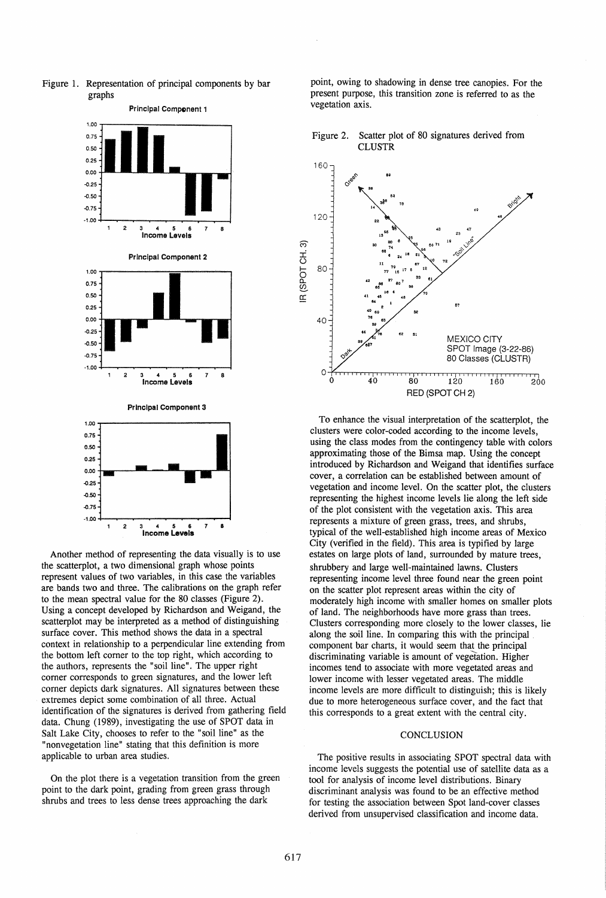



Another method of representing the data visually is to use the scatterplot, a two dimensional graph whose points represent values of two variables, in this case the variables are bands two and three. The calibrations on the graph refer to the mean spectral value for the 80 classes (Figure 2). Using a concept developed by Richardson and Weigand, the scatterplot may be interpreted as a method of distinguishing surface cover. This method shows the data in a spectral context in relationship to a perpendicular line extending from the bottom left corner to the top right, which according to the authors, represents the "soil line". The upper right corner corresponds to green signatures, and the lower left corner depicts dark signatures. All signatures between these extremes depict some combination of all three. Actual identification of the signatures is derived from gathering field data. Chung (1989), investigating the use of SPOT data in Salt Lake City, chooses to refer to the "soil line" as the "nonvegetation line" stating that this definition is more applicable to urban area studies.

On the plot there is a vegetation transition from the green point to the dark point, grading from green grass through shrubs and trees to less dense trees approaching the dark

point, owing to shadowing in dense tree canopies. For the present purpose, this transition zone is referred to as the vegetation axis.





To enhance the visual interpretation of the scatterplot, the clusters were color-coded according to the income levels, using the class modes from the contingency table with colors approximating those of the Bimsa map. Using the concept introduced by Richardson and Weigand that identifies surface cover, a correlation can be established between amount of vegetation and income level. On the scatter plot, the clusters representing the highest income levels lie along the left side of the plot consistent with the vegetation axis. This area represents a mixture of green grass, trees, and shrubs, typical of the well-established high income areas of Mexico City (verified in the field). This area is typified by large estates on large plots of land, surrounded by mature trees, shrubbery and large well-maintained lawns. Clusters representing income level three found near the green point on the scatter plot represent areas within the city of moderately high income with smaller homes on smaller plots of land. The neighborhoods have more grass than trees. Clusters corresponding more closely to the lower classes, lie along the soil line. In comparing this with the principal component bar charts, it would seem that the principal discriminating variable is amount of vegetation. Higher incomes tend to associate with more vegetated areas and lower income with lesser vegetated areas. The middle income levels are more difficult to distinguish; this is likely due to more heterogeneous surface cover, and the fact that this corresponds to a great extent with the central city.

## **CONCLUSION**

The positive results in associating SPOT spectral data with income levels suggests the potential use of satellite data as a tool for analysis of income level distributions. Binary discriminant analysis was found to be an effective method for testing the association between Spot land-cover classes derived from unsupervised classification and income data.